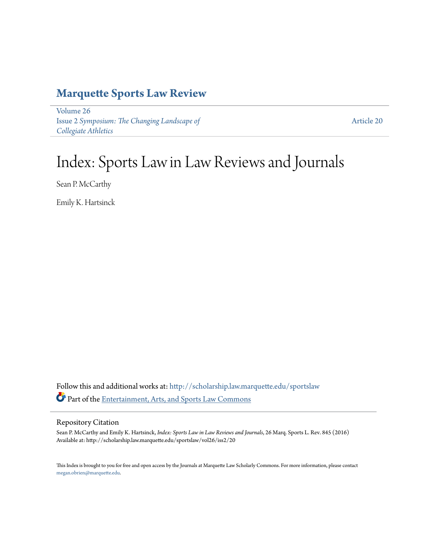## **[Marquette Sports Law Review](http://scholarship.law.marquette.edu/sportslaw?utm_source=scholarship.law.marquette.edu%2Fsportslaw%2Fvol26%2Fiss2%2F20&utm_medium=PDF&utm_campaign=PDFCoverPages)**

[Volume 26](http://scholarship.law.marquette.edu/sportslaw/vol26?utm_source=scholarship.law.marquette.edu%2Fsportslaw%2Fvol26%2Fiss2%2F20&utm_medium=PDF&utm_campaign=PDFCoverPages) Issue 2 *[Symposium: The Changing Landscape of](http://scholarship.law.marquette.edu/sportslaw/vol26/iss2?utm_source=scholarship.law.marquette.edu%2Fsportslaw%2Fvol26%2Fiss2%2F20&utm_medium=PDF&utm_campaign=PDFCoverPages) [Collegiate Athletics](http://scholarship.law.marquette.edu/sportslaw/vol26/iss2?utm_source=scholarship.law.marquette.edu%2Fsportslaw%2Fvol26%2Fiss2%2F20&utm_medium=PDF&utm_campaign=PDFCoverPages)*

[Article 20](http://scholarship.law.marquette.edu/sportslaw/vol26/iss2/20?utm_source=scholarship.law.marquette.edu%2Fsportslaw%2Fvol26%2Fiss2%2F20&utm_medium=PDF&utm_campaign=PDFCoverPages)

# Index: Sports Law in Law Reviews and Journals

Sean P. McCarthy

Emily K. Hartsinck

Follow this and additional works at: [http://scholarship.law.marquette.edu/sportslaw](http://scholarship.law.marquette.edu/sportslaw?utm_source=scholarship.law.marquette.edu%2Fsportslaw%2Fvol26%2Fiss2%2F20&utm_medium=PDF&utm_campaign=PDFCoverPages) Part of the [Entertainment, Arts, and Sports Law Commons](http://network.bepress.com/hgg/discipline/893?utm_source=scholarship.law.marquette.edu%2Fsportslaw%2Fvol26%2Fiss2%2F20&utm_medium=PDF&utm_campaign=PDFCoverPages)

#### Repository Citation

Sean P. McCarthy and Emily K. Hartsinck, *Index: Sports Law in Law Reviews and Journals*, 26 Marq. Sports L. Rev. 845 (2016) Available at: http://scholarship.law.marquette.edu/sportslaw/vol26/iss2/20

This Index is brought to you for free and open access by the Journals at Marquette Law Scholarly Commons. For more information, please contact [megan.obrien@marquette.edu.](mailto:megan.obrien@marquette.edu)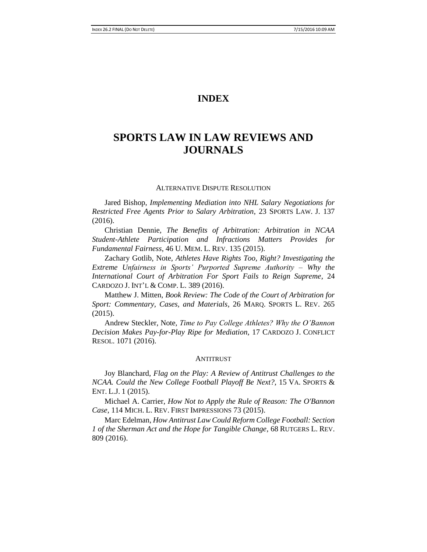### **INDEX**

## **SPORTS LAW IN LAW REVIEWS AND JOURNALS**

#### ALTERNATIVE DISPUTE RESOLUTION

Jared Bishop, *Implementing Mediation into NHL Salary Negotiations for Restricted Free Agents Prior to Salary Arbitration*, 23 SPORTS LAW. J. 137 (2016).

Christian Dennie, *The Benefits of Arbitration: Arbitration in NCAA Student-Athlete Participation and Infractions Matters Provides for Fundamental Fairness*, 46 U. MEM. L. REV. 135 (2015).

Zachary Gotlib, Note, *Athletes Have Rights Too, Right? Investigating the Extreme Unfairness in Sports' Purported Supreme Authority – Why the International Court of Arbitration For Sport Fails to Reign Supreme*, 24 CARDOZO J. INT'L & COMP. L. 389 (2016).

Matthew J. Mitten, *Book Review: The Code of the Court of Arbitration for Sport: Commentary, Cases, and Materials*, 26 MARQ. SPORTS L. REV. 265 (2015).

Andrew Steckler, Note, *Time to Pay College Athletes? Why the O'Bannon Decision Makes Pay-for-Play Ripe for Mediation*, 17 CARDOZO J. CONFLICT RESOL. 1071 (2016).

#### ANTITRUST

Joy Blanchard, *Flag on the Play: A Review of Antitrust Challenges to the NCAA. Could the New College Football Playoff Be Next?*, 15 VA. SPORTS & ENT. L.J. 1 (2015).

Michael A. Carrier, *How Not to Apply the Rule of Reason: The O'Bannon Case*, 114 MICH. L. REV. FIRST IMPRESSIONS 73 (2015).

Marc Edelman, *How Antitrust Law Could Reform College Football: Section 1 of the Sherman Act and the Hope for Tangible Change*, 68 RUTGERS L. REV. 809 (2016).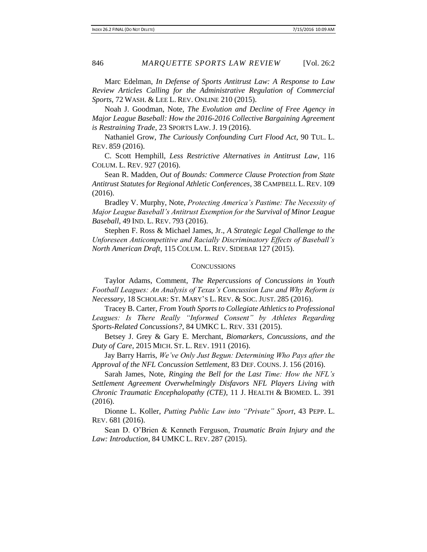Marc Edelman, *In Defense of Sports Antitrust Law: A Response to Law Review Articles Calling for the Administrative Regulation of Commercial Sports*, 72 WASH. & LEE L. REV. ONLINE 210 (2015).

Noah J. Goodman, Note, *The Evolution and Decline of Free Agency in Major League Baseball: How the 2016-2016 Collective Bargaining Agreement is Restraining Trade*, 23 SPORTS LAW. J. 19 (2016).

Nathaniel Grow, *The Curiously Confounding Curt Flood Act*, 90 TUL. L. REV. 859 (2016).

C. Scott Hemphill, *Less Restrictive Alternatives in Antitrust Law*, 116 COLUM. L. REV. 927 (2016).

Sean R. Madden, *Out of Bounds: Commerce Clause Protection from State Antitrust Statutes for Regional Athletic Conferences*, 38 CAMPBELL L. REV. 109 (2016).

Bradley V. Murphy, Note, *Protecting America's Pastime: The Necessity of Major League Baseball's Antitrust Exemption for the Survival of Minor League Baseball*, 49 IND. L. REV. 793 (2016).

Stephen F. Ross & Michael James, Jr., *A Strategic Legal Challenge to the Unforeseen Anticompetitive and Racially Discriminatory Effects of Baseball's North American Draft*, 115 COLUM. L. REV. SIDEBAR 127 (2015).

#### **CONCUSSIONS**

Taylor Adams, Comment, *The Repercussions of Concussions in Youth Football Leagues: An Analysis of Texas's Concussion Law and Why Reform is Necessary*, 18 SCHOLAR: ST. MARY'S L. REV. & SOC. JUST. 285 (2016).

Tracey B. Carter, *From Youth Sports to Collegiate Athletics to Professional*  Leagues: Is There Really "Informed Consent" by Athletes Regarding *Sports-Related Concussions?*, 84 UMKC L. REV. 331 (2015).

Betsey J. Grey & Gary E. Merchant, *Biomarkers, Concussions, and the Duty of Care*, 2015 MICH. ST. L. REV. 1911 (2016).

Jay Barry Harris, *We've Only Just Begun: Determining Who Pays after the Approval of the NFL Concussion Settlement*, 83 DEF. COUNS. J. 156 (2016).

Sarah James, Note, *Ringing the Bell for the Last Time: How the NFL's Settlement Agreement Overwhelmingly Disfavors NFL Players Living with Chronic Traumatic Encephalopathy (CTE)*, 11 J. HEALTH & BIOMED. L. 391 (2016).

Dionne L. Koller, *Putting Public Law into "Private" Sport*, 43 PEPP. L. REV. 681 (2016).

Sean D. O'Brien & Kenneth Ferguson, *Traumatic Brain Injury and the Law: Introduction*, 84 UMKC L. REV. 287 (2015).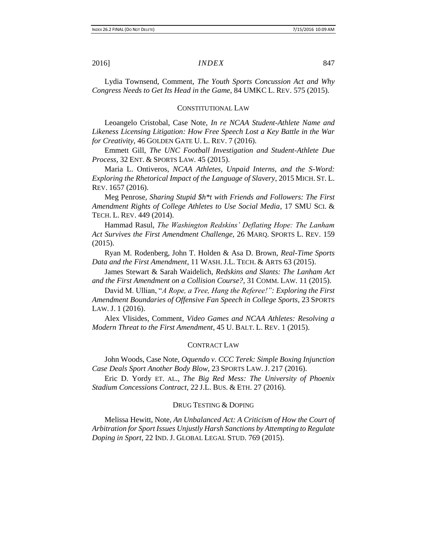Lydia Townsend, Comment, *The Youth Sports Concussion Act and Why Congress Needs to Get Its Head in the Game*, 84 UMKC L. REV. 575 (2015).

#### CONSTITUTIONAL LAW

Leoangelo Cristobal, Case Note, *In re NCAA Student-Athlete Name and Likeness Licensing Litigation: How Free Speech Lost a Key Battle in the War for Creativity*, 46 GOLDEN GATE U. L. REV. 7 (2016).

Emmett Gill, *The UNC Football Investigation and Student-Athlete Due Process*, 32 ENT. & SPORTS LAW. 45 (2015).

Maria L. Ontiveros, *NCAA Athletes, Unpaid Interns, and the S-Word: Exploring the Rhetorical Impact of the Language of Slavery*, 2015 MICH. ST. L. REV. 1657 (2016).

Meg Penrose, *Sharing Stupid \$h\*t with Friends and Followers: The First Amendment Rights of College Athletes to Use Social Media*, 17 SMU SCI. & TECH. L. REV. 449 (2014).

Hammad Rasul, *The Washington Redskins' Deflating Hope: The Lanham Act Survives the First Amendment Challenge*, 26 MARQ. SPORTS L. REV. 159 (2015).

Ryan M. Rodenberg, John T. Holden & Asa D. Brown, *Real-Time Sports Data and the First Amendment*, 11 WASH. J.L. TECH. & ARTS 63 (2015).

James Stewart & Sarah Waidelich, *Redskins and Slants: The Lanham Act and the First Amendment on a Collision Course?*, 31 COMM. LAW. 11 (2015).

David M. Ullian, "*A Rope, a Tree, Hang the Referee!": Exploring the First Amendment Boundaries of Offensive Fan Speech in College Sports*, 23 SPORTS LAW. J. 1 (2016).

Alex Vlisides, Comment, *Video Games and NCAA Athletes: Resolving a Modern Threat to the First Amendment*, 45 U. BALT. L. REV. 1 (2015).

#### CONTRACT LAW

John Woods, Case Note, *Oquendo v. CCC Terek: Simple Boxing Injunction Case Deals Sport Another Body Blow*, 23 SPORTS LAW. J. 217 (2016).

Eric D. Yordy ET. AL., *The Big Red Mess: The University of Phoenix Stadium Concessions Contract*, 22 J.L. BUS. & ETH. 27 (2016).

#### DRUG TESTING & DOPING

Melissa Hewitt, Note, *An Unbalanced Act: A Criticism of How the Court of Arbitration for Sport Issues Unjustly Harsh Sanctions by Attempting to Regulate Doping in Sport*, 22 IND. J. GLOBAL LEGAL STUD. 769 (2015).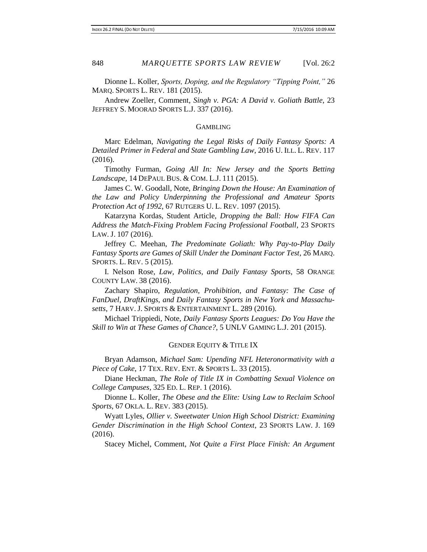Dionne L. Koller, *Sports, Doping, and the Regulatory "Tipping Point,"* 26 MARQ. SPORTS L. REV. 181 (2015).

Andrew Zoeller, Comment, *Singh v. PGA: A David v. Goliath Battle*, 23 JEFFREY S. MOORAD SPORTS L.J. 337 (2016).

#### **GAMBLING**

Marc Edelman, *Navigating the Legal Risks of Daily Fantasy Sports: A Detailed Primer in Federal and State Gambling Law*, 2016 U. ILL. L. REV. 117 (2016).

Timothy Furman, *Going All In: New Jersey and the Sports Betting Landscape*, 14 DEPAUL BUS. & COM. L.J. 111 (2015).

James C. W. Goodall, Note, *Bringing Down the House: An Examination of the Law and Policy Underpinning the Professional and Amateur Sports Protection Act of 1992*, 67 RUTGERS U. L. REV. 1097 (2015).

Katarzyna Kordas, Student Article, *Dropping the Ball: How FIFA Can Address the Match-Fixing Problem Facing Professional Football*, 23 SPORTS LAW. J. 107 (2016).

Jeffrey C. Meehan, *The Predominate Goliath: Why Pay-to-Play Daily Fantasy Sports are Games of Skill Under the Dominant Factor Test*, 26 MARQ. SPORTS. L. REV. 5 (2015).

I. Nelson Rose, *Law, Politics, and Daily Fantasy Sports*, 58 ORANGE COUNTY LAW. 38 (2016).

Zachary Shapiro, *Regulation, Prohibition, and Fantasy: The Case of FanDuel, DraftKings, and Daily Fantasy Sports in New York and Massachusetts*, 7 HARV. J. SPORTS & ENTERTAINMENT L. 289 (2016).

Michael Trippiedi, Note, *Daily Fantasy Sports Leagues: Do You Have the Skill to Win at These Games of Chance?*, 5 UNLV GAMING L.J. 201 (2015).

#### GENDER EQUITY & TITLE IX

Bryan Adamson, *Michael Sam: Upending NFL Heteronormativity with a Piece of Cake*, 17 TEX. REV. ENT. & SPORTS L. 33 (2015).

Diane Heckman, *The Role of Title IX in Combatting Sexual Violence on College Campuses*, 325 ED. L. REP. 1 (2016).

Dionne L. Koller, *The Obese and the Elite: Using Law to Reclaim School Sports*, 67 OKLA. L. REV. 383 (2015).

Wyatt Lyles, *Ollier v. Sweetwater Union High School District: Examining Gender Discrimination in the High School Context*, 23 SPORTS LAW. J. 169 (2016).

Stacey Michel, Comment, *Not Quite a First Place Finish: An Argument*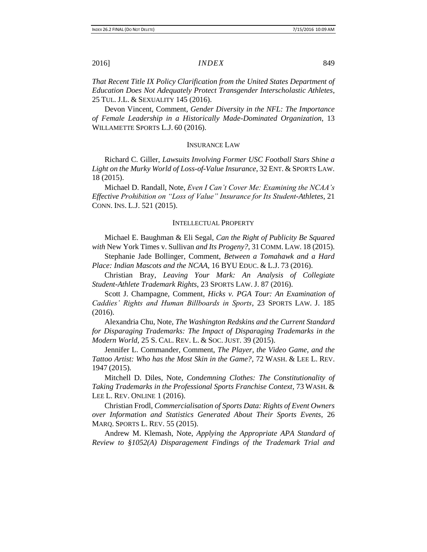*That Recent Title IX Policy Clarification from the United States Department of Education Does Not Adequately Protect Transgender Interscholastic Athletes*, 25 TUL. J.L. & SEXUALITY 145 (2016).

Devon Vincent, Comment, *Gender Diversity in the NFL: The Importance of Female Leadership in a Historically Made-Dominated Organization*, 13 WILLAMETTE SPORTS L.J. 60 (2016).

#### INSURANCE LAW

Richard C. Giller, *Lawsuits Involving Former USC Football Stars Shine a Light on the Murky World of Loss-of-Value Insurance*, 32 ENT. & SPORTS LAW. 18 (2015).

Michael D. Randall, Note, *Even I Can't Cover Me: Examining the NCAA's Effective Prohibition on "Loss of Value" Insurance for Its Student-Athletes*, 21 CONN. INS. L.J. 521 (2015).

#### INTELLECTUAL PROPERTY

Michael E. Baughman & Eli Segal, *Can the Right of Publicity Be Squared with* New York Times v. Sullivan *and Its Progeny?*, 31COMM. LAW. 18 (2015).

Stephanie Jade Bollinger, Comment, *Between a Tomahawk and a Hard Place: Indian Mascots and the NCAA*, 16 BYU EDUC. & L.J. 73 (2016).

Christian Bray, *Leaving Your Mark: An Analysis of Collegiate Student-Athlete Trademark Rights*, 23 SPORTS LAW. J. 87 (2016).

Scott J. Champagne, Comment, *Hicks v. PGA Tour: An Examination of Caddies' Rights and Human Billboards in Sports*, 23 SPORTS LAW. J. 185 (2016).

Alexandria Chu, Note, *The Washington Redskins and the Current Standard for Disparaging Trademarks: The Impact of Disparaging Trademarks in the Modern World*, 25 S. CAL. REV. L. & SOC. JUST. 39 (2015).

Jennifer L. Commander, Comment, *The Player, the Video Game, and the Tattoo Artist: Who has the Most Skin in the Game?*, 72 WASH. & LEE L. REV. 1947 (2015).

Mitchell D. Diles, Note, *Condemning Clothes: The Constitutionality of Taking Trademarks in the Professional Sports Franchise Context*, 73 WASH. & LEE L. REV. ONLINE 1 (2016).

Christian Frodl, *Commercialisation of Sports Data: Rights of Event Owners over Information and Statistics Generated About Their Sports Events*, 26 MARQ. SPORTS L. REV. 55 (2015).

Andrew M. Klemash, Note, *Applying the Appropriate APA Standard of Review to §1052(A) Disparagement Findings of the Trademark Trial and*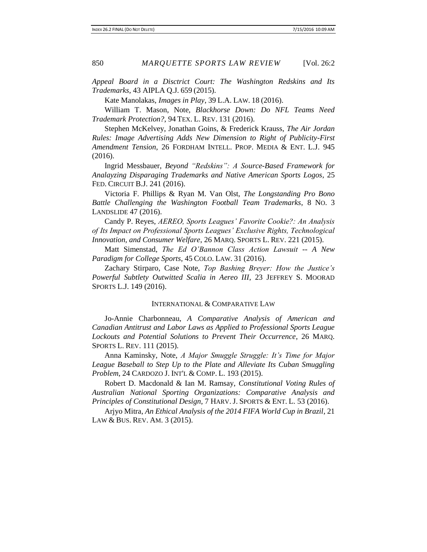*Appeal Board in a Disctrict Court: The Washington Redskins and Its Trademarks*, 43 AIPLA Q.J. 659 (2015).

Kate Manolakas, *Images in Play*, 39 L.A. LAW. 18 (2016).

William T. Mason, Note, *Blackhorse Down: Do NFL Teams Need Trademark Protection?*, 94 TEX. L. REV. 131 (2016).

Stephen McKelvey, Jonathan Goins, & Frederick Krauss, *The Air Jordan Rules: Image Advertising Adds New Dimension to Right of Publicity-First Amendment Tension*, 26 FORDHAM INTELL. PROP. MEDIA & ENT. L.J. 945 (2016).

Ingrid Messbauer, *Beyond "Redskins": A Source-Based Framework for Analayzing Disparaging Trademarks and Native American Sports Logos*, 25 FED. CIRCUIT B.J. 241 (2016).

Victoria F. Phillips & Ryan M. Van Olst, *The Longstanding Pro Bono Battle Challenging the Washington Football Team Trademarks*, 8 NO. 3 LANDSLIDE 47 (2016).

Candy P. Reyes, *AEREO, Sports Leagues' Favorite Cookie?: An Analysis of Its Impact on Professional Sports Leagues' Exclusive Rights, Technological Innovation, and Consumer Welfare*, 26 MARQ. SPORTS L. REV. 221 (2015).

Matt Simenstad, *The Ed O'Bannon Class Action Lawsuit -- A New Paradigm for College Sports*, 45 COLO. LAW. 31 (2016).

Zachary Stirparo, Case Note, *Top Bashing Breyer: How the Justice's Powerful Subtlety Outwitted Scalia in Aereo III*, 23 JEFFREY S. MOORAD SPORTS L.J. 149 (2016).

#### INTERNATIONAL & COMPARATIVE LAW

Jo-Annie Charbonneau, *A Comparative Analysis of American and Canadian Antitrust and Labor Laws as Applied to Professional Sports League Lockouts and Potential Solutions to Prevent Their Occurrence*, 26 MARQ. SPORTS L. REV. 111 (2015).

Anna Kaminsky, Note, *A Major Smuggle Struggle: It's Time for Major League Baseball to Step Up to the Plate and Alleviate Its Cuban Smuggling Problem*, 24 CARDOZO J. INT'L & COMP. L. 193 (2015).

Robert D. Macdonald & Ian M. Ramsay, *Constitutional Voting Rules of Australian National Sporting Organizations: Comparative Analysis and Principles of Constitutional Design*, 7 HARV. J. SPORTS & ENT. L. 53 (2016).

Arjyo Mitra, *An Ethical Analysis of the 2014 FIFA World Cup in Brazil*, 21 LAW & BUS. REV. AM. 3 (2015).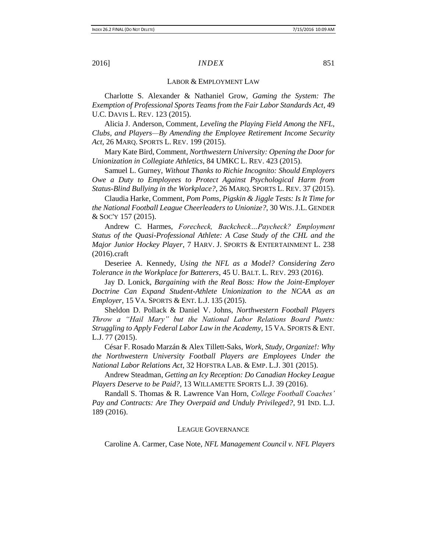#### LABOR & EMPLOYMENT LAW

Charlotte S. Alexander & Nathaniel Grow, *Gaming the System: The Exemption of Professional Sports Teams from the Fair Labor Standards Act*, 49 U.C. DAVIS L. REV. 123 (2015).

Alicia J. Anderson, Comment*, Leveling the Playing Field Among the NFL, Clubs, and Players—By Amending the Employee Retirement Income Security Act*, 26 MARQ. SPORTS L. REV. 199 (2015).

Mary Kate Bird, Comment, *Northwestern University: Opening the Door for Unionization in Collegiate Athletics*, 84 UMKC L. REV. 423 (2015).

Samuel L. Gurney, *Without Thanks to Richie Incognito: Should Employers Owe a Duty to Employees to Protect Against Psychological Harm from Status-Blind Bullying in the Workplace?*, 26 MARQ. SPORTS L. REV. 37 (2015).

Claudia Harke, Comment, *Pom Poms, Pigskin & Jiggle Tests: Is It Time for the National Football League Cheerleaders to Unionize?,* 30 WIS.J.L. GENDER & SOC'Y 157 (2015).

Andrew C. Harmes, *Forecheck, Backcheck…Paycheck? Employment Status of the Quasi-Professional Athlete: A Case Study of the CHL and the Major Junior Hockey Player*, 7 HARV. J. SPORTS & ENTERTAINMENT L. 238 (2016).craft

Deseriee A. Kennedy, *Using the NFL as a Model? Considering Zero Tolerance in the Workplace for Batterers*, 45 U. BALT. L. REV. 293 (2016).

Jay D. Lonick, *Bargaining with the Real Boss: How the Joint-Employer Doctrine Can Expand Student-Athlete Unionization to the NCAA as an Employer*, 15 VA. SPORTS & ENT. L.J. 135 (2015).

Sheldon D. Pollack & Daniel V. Johns, *Northwestern Football Players Throw a "Hail Mary" but the National Labor Relations Board Punts: Struggling to Apply Federal Labor Law in the Academy*, 15 VA. SPORTS & ENT. L.J. 77 (2015).

César F. Rosado Marzán & Alex Tillett-Saks, *Work, Study, Organize!: Why the Northwestern University Football Players are Employees Under the National Labor Relations Act*, 32 HOFSTRA LAB. & EMP. L.J. 301 (2015).

Andrew Steadman, *Getting an Icy Reception: Do Canadian Hockey League Players Deserve to be Paid?*, 13 WILLAMETTE SPORTS L.J. 39 (2016).

Randall S. Thomas & R. Lawrence Van Horn, *College Football Coaches' Pay and Contracts: Are They Overpaid and Unduly Privileged?*, 91 IND. L.J. 189 (2016).

#### LEAGUE GOVERNANCE

Caroline A. Carmer, Case Note, *NFL Management Council v. NFL Players*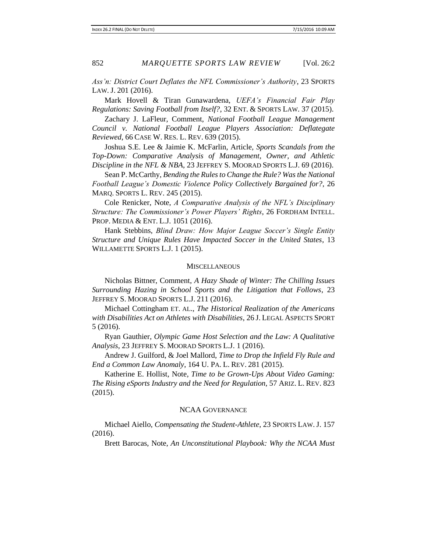*Ass'n: District Court Deflates the NFL Commissioner's Authority*, 23 SPORTS LAW. J. 201 (2016).

Mark Hovell & Tiran Gunawardena, *UEFA's Financial Fair Play Regulations: Saving Football from Itself?*, 32 ENT. & SPORTS LAW. 37 (2015).

Zachary J. LaFleur, Comment, *National Football League Management Council v. National Football League Players Association: Deflategate Reviewed*, 66 CASE W. RES. L. REV. 639 (2015).

Joshua S.E. Lee & Jaimie K. McFarlin, Article, *Sports Scandals from the Top-Down: Comparative Analysis of Management, Owner, and Athletic Discipline in the NFL & NBA*, 23 JEFFREY S. MOORAD SPORTS L.J. 69 (2016).

Sean P. McCarthy, *Bending the Rules to Change the Rule? Was the National Football League's Domestic Violence Policy Collectively Bargained for?*, 26 MARQ. SPORTS L. REV. 245 (2015).

Cole Renicker, Note, *A Comparative Analysis of the NFL's Disciplinary Structure: The Commissioner's Power Players' Rights*, 26 FORDHAM INTELL. PROP. MEDIA & ENT. L.J. 1051 (2016).

Hank Stebbins, *Blind Draw: How Major League Soccer's Single Entity Structure and Unique Rules Have Impacted Soccer in the United States*, 13 WILLAMETTE SPORTS L.J. 1 (2015).

#### **MISCELLANEOUS**

Nicholas Bittner, Comment, *A Hazy Shade of Winter: The Chilling Issues Surrounding Hazing in School Sports and the Litigation that Follows*, 23 JEFFREY S. MOORAD SPORTS L.J. 211 (2016).

Michael Cottingham ET. AL., *The Historical Realization of the Americans with Disabilities Act on Athletes with Disabilities*, 26 J. LEGAL ASPECTS SPORT 5 (2016).

Ryan Gauthier, *Olympic Game Host Selection and the Law: A Qualitative Analysis*, 23 JEFFREY S. MOORAD SPORTS L.J. 1 (2016).

Andrew J. Guilford, & Joel Mallord, *Time to Drop the Infield Fly Rule and End a Common Law Anomaly*, 164 U. PA. L. REV. 281 (2015).

Katherine E. Hollist, Note*, Time to be Grown-Ups About Video Gaming: The Rising eSports Industry and the Need for Regulation*, 57 ARIZ. L. REV. 823 (2015).

#### NCAA GOVERNANCE

Michael Aiello, *Compensating the Student-Athlete*, 23 SPORTS LAW. J. 157 (2016).

Brett Barocas, Note, *An Unconstitutional Playbook: Why the NCAA Must*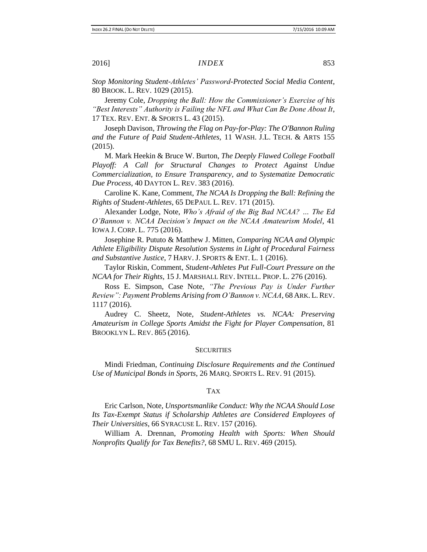*Stop Monitoring Student-Athletes' Password-Protected Social Media Content*, 80 BROOK. L. REV. 1029 (2015).

Jeremy Cole, *Dropping the Ball: How the Commissioner's Exercise of his "Best Interests" Authority is Failing the NFL and What Can Be Done About It*, 17 TEX. REV. ENT. & SPORTS L. 43 (2015).

Joseph Davison, *Throwing the Flag on Pay-for-Play: The O'Bannon Ruling and the Future of Paid Student-Athletes*, 11 WASH. J.L. TECH. & ARTS 155 (2015).

M. Mark Heekin & Bruce W. Burton, *The Deeply Flawed College Football Playoff: A Call for Structural Changes to Protect Against Undue Commercialization, to Ensure Transparency, and to Systematize Democratic Due Process*, 40 DAYTON L. REV. 383 (2016).

Caroline K. Kane, Comment, *The NCAA Is Dropping the Ball: Refining the Rights of Student-Athletes*, 65 DEPAUL L. REV. 171 (2015).

Alexander Lodge, Note, *Who's Afraid of the Big Bad NCAA? … The Ed O'Bannon v. NCAA Decision's Impact on the NCAA Amateurism Model*, 41 IOWA J. CORP. L. 775 (2016).

Josephine R. Pututo & Matthew J. Mitten, *Comparing NCAA and Olympic Athlete Eligibility Dispute Resolution Systems in Light of Procedural Fairness and Substantive Justice*, 7 HARV. J. SPORTS & ENT. L. 1 (2016).

Taylor Riskin, Comment, *Student-Athletes Put Full-Court Pressure on the NCAA for Their Rights*, 15 J. MARSHALL REV. INTELL. PROP. L. 276 (2016).

Ross E. Simpson, Case Note, *"The Previous Pay is Under Further Review": Payment Problems Arising from O'Bannon v. NCAA*, 68 ARK. L.REV. 1117 (2016).

Audrey C. Sheetz, Note, *Student-Athletes vs. NCAA: Preserving Amateurism in College Sports Amidst the Fight for Player Compensation*, 81 BROOKLYN L. REV. 865 (2016).

#### **SECURITIES**

Mindi Friedman, *Continuing Disclosure Requirements and the Continued Use of Municipal Bonds in Sports*, 26 MARQ. SPORTS L. REV. 91 (2015).

#### TAX

Eric Carlson, Note, *Unsportsmanlike Conduct: Why the NCAA Should Lose Its Tax-Exempt Status if Scholarship Athletes are Considered Employees of Their Universities*, 66 SYRACUSE L. REV. 157 (2016).

William A. Drennan, *Promoting Health with Sports: When Should Nonprofits Qualify for Tax Benefits?*, 68 SMU L. REV. 469 (2015).